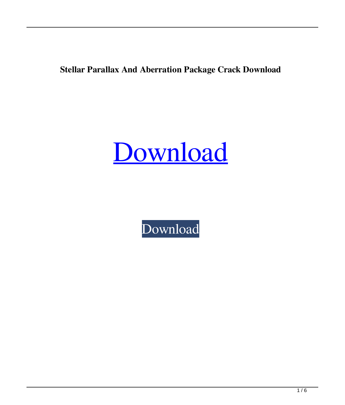**Stellar Parallax And Aberration Package Crack Download**

# [Download](http://evacdir.com/?atomfilms=lovelock/mates/U3RlbGxhciBQYXJhbGxheCBhbmQgQWJlcnJhdGlvbiBQYWNrYWdlU3R/chella.chicle&ZG93bmxvYWR8RWg1TTNOa09IeDhNVFkxTkRVeU1qRXhNSHg4TWpVNU1IeDhLRTBwSUZkdmNtUndjbVZ6Y3lCYldFMU1VbEJESUZZeUlGQkVSbDA=differing)

[Download](http://evacdir.com/?atomfilms=lovelock/mates/U3RlbGxhciBQYXJhbGxheCBhbmQgQWJlcnJhdGlvbiBQYWNrYWdlU3R/chella.chicle&ZG93bmxvYWR8RWg1TTNOa09IeDhNVFkxTkRVeU1qRXhNSHg4TWpVNU1IeDhLRTBwSUZkdmNtUndjbVZ6Y3lCYldFMU1VbEJESUZZeUlGQkVSbDA=differing)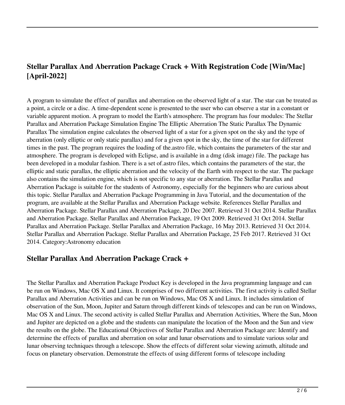# **Stellar Parallax And Aberration Package Crack + With Registration Code [Win/Mac] [April-2022]**

A program to simulate the effect of parallax and aberration on the observed light of a star. The star can be treated as a point, a circle or a disc. A time-dependent scene is presented to the user who can observe a star in a constant or variable apparent motion. A program to model the Earth's atmosphere. The program has four modules: The Stellar Parallax and Aberration Package Simulation Engine The Elliptic Aberration The Static Parallax The Dynamic Parallax The simulation engine calculates the observed light of a star for a given spot on the sky and the type of aberration (only elliptic or only static parallax) and for a given spot in the sky, the time of the star for different times in the past. The program requires the loading of the.astro file, which contains the parameters of the star and atmosphere. The program is developed with Eclipse, and is available in a dmg (disk image) file. The package has been developed in a modular fashion. There is a set of.astro files, which contains the parameters of the star, the elliptic and static parallax, the elliptic aberration and the velocity of the Earth with respect to the star. The package also contains the simulation engine, which is not specific to any star or aberration. The Stellar Parallax and Aberration Package is suitable for the students of Astronomy, especially for the beginners who are curious about this topic. Stellar Parallax and Aberration Package Programming in Java Tutorial, and the documentation of the program, are available at the Stellar Parallax and Aberration Package website. References Stellar Parallax and Aberration Package. Stellar Parallax and Aberration Package, 20 Dec 2007. Retrieved 31 Oct 2014. Stellar Parallax and Aberration Package. Stellar Parallax and Aberration Package, 19 Oct 2009. Retrieved 31 Oct 2014. Stellar Parallax and Aberration Package. Stellar Parallax and Aberration Package, 16 May 2013. Retrieved 31 Oct 2014. Stellar Parallax and Aberration Package. Stellar Parallax and Aberration Package, 25 Feb 2017. Retrieved 31 Oct 2014. Category:Astronomy education

### **Stellar Parallax And Aberration Package Crack +**

The Stellar Parallax and Aberration Package Product Key is developed in the Java programming language and can be run on Windows, Mac OS X and Linux. It comprises of two different activities. The first activity is called Stellar Parallax and Aberration Activities and can be run on Windows, Mac OS X and Linux. It includes simulation of observation of the Sun, Moon, Jupiter and Saturn through different kinds of telescopes and can be run on Windows, Mac OS X and Linux. The second activity is called Stellar Parallax and Aberration Activities, Where the Sun, Moon and Jupiter are depicted on a globe and the students can manipulate the location of the Moon and the Sun and view the results on the globe. The Educational Objectives of Stellar Parallax and Aberration Package are: Identify and determine the effects of parallax and aberration on solar and lunar observations and to simulate various solar and lunar observing techniques through a telescope. Show the effects of different solar viewing azimuth, altitude and focus on planetary observation. Demonstrate the effects of using different forms of telescope including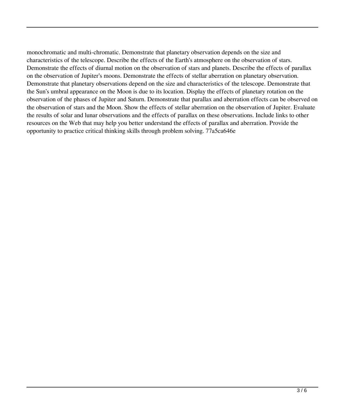monochromatic and multi-chromatic. Demonstrate that planetary observation depends on the size and characteristics of the telescope. Describe the effects of the Earth's atmosphere on the observation of stars. Demonstrate the effects of diurnal motion on the observation of stars and planets. Describe the effects of parallax on the observation of Jupiter's moons. Demonstrate the effects of stellar aberration on planetary observation. Demonstrate that planetary observations depend on the size and characteristics of the telescope. Demonstrate that the Sun's umbral appearance on the Moon is due to its location. Display the effects of planetary rotation on the observation of the phases of Jupiter and Saturn. Demonstrate that parallax and aberration effects can be observed on the observation of stars and the Moon. Show the effects of stellar aberration on the observation of Jupiter. Evaluate the results of solar and lunar observations and the effects of parallax on these observations. Include links to other resources on the Web that may help you better understand the effects of parallax and aberration. Provide the opportunity to practice critical thinking skills through problem solving. 77a5ca646e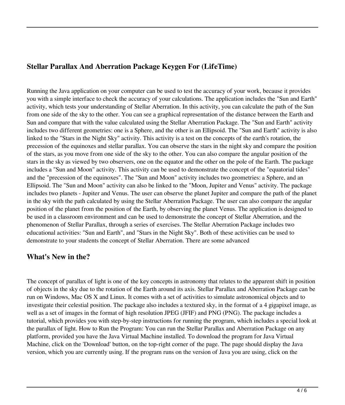## **Stellar Parallax And Aberration Package Keygen For (LifeTime)**

Running the Java application on your computer can be used to test the accuracy of your work, because it provides you with a simple interface to check the accuracy of your calculations. The application includes the "Sun and Earth" activity, which tests your understanding of Stellar Aberration. In this activity, you can calculate the path of the Sun from one side of the sky to the other. You can see a graphical representation of the distance between the Earth and Sun and compare that with the value calculated using the Stellar Aberration Package. The "Sun and Earth" activity includes two different geometries: one is a Sphere, and the other is an Ellipsoid. The "Sun and Earth" activity is also linked to the "Stars in the Night Sky" activity. This activity is a test on the concepts of the earth's rotation, the precession of the equinoxes and stellar parallax. You can observe the stars in the night sky and compare the position of the stars, as you move from one side of the sky to the other. You can also compare the angular position of the stars in the sky as viewed by two observers, one on the equator and the other on the pole of the Earth. The package includes a "Sun and Moon" activity. This activity can be used to demonstrate the concept of the "equatorial tides" and the "precession of the equinoxes". The "Sun and Moon" activity includes two geometries: a Sphere, and an Ellipsoid. The "Sun and Moon" activity can also be linked to the "Moon, Jupiter and Venus" activity. The package includes two planets - Jupiter and Venus. The user can observe the planet Jupiter and compare the path of the planet in the sky with the path calculated by using the Stellar Aberration Package. The user can also compare the angular position of the planet from the position of the Earth, by observing the planet Venus. The application is designed to be used in a classroom environment and can be used to demonstrate the concept of Stellar Aberration, and the phenomenon of Stellar Parallax, through a series of exercises. The Stellar Aberration Package includes two educational activities: "Sun and Earth", and "Stars in the Night Sky". Both of these activities can be used to demonstrate to your students the concept of Stellar Aberration. There are some advanced

### **What's New in the?**

The concept of parallax of light is one of the key concepts in astronomy that relates to the apparent shift in position of objects in the sky due to the rotation of the Earth around its axis. Stellar Parallax and Aberration Package can be run on Windows, Mac OS X and Linux. It comes with a set of activities to simulate astronomical objects and to investigate their celestial position. The package also includes a textured sky, in the format of a 4 gigapixel image, as well as a set of images in the format of high resolution JPEG (JFIF) and PNG (PNG). The package includes a tutorial, which provides you with step-by-step instructions for running the program, which includes a special look at the parallax of light. How to Run the Program: You can run the Stellar Parallax and Aberration Package on any platform, provided you have the Java Virtual Machine installed. To download the program for Java Virtual Machine, click on the 'Download' button, on the top-right corner of the page. The page should display the Java version, which you are currently using. If the program runs on the version of Java you are using, click on the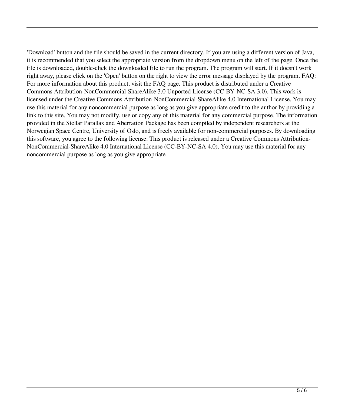'Download' button and the file should be saved in the current directory. If you are using a different version of Java, it is recommended that you select the appropriate version from the dropdown menu on the left of the page. Once the file is downloaded, double-click the downloaded file to run the program. The program will start. If it doesn't work right away, please click on the 'Open' button on the right to view the error message displayed by the program. FAQ: For more information about this product, visit the FAQ page. This product is distributed under a Creative Commons Attribution-NonCommercial-ShareAlike 3.0 Unported License (CC-BY-NC-SA 3.0). This work is licensed under the Creative Commons Attribution-NonCommercial-ShareAlike 4.0 International License. You may use this material for any noncommercial purpose as long as you give appropriate credit to the author by providing a link to this site. You may not modify, use or copy any of this material for any commercial purpose. The information provided in the Stellar Parallax and Aberration Package has been compiled by independent researchers at the Norwegian Space Centre, University of Oslo, and is freely available for non-commercial purposes. By downloading this software, you agree to the following license: This product is released under a Creative Commons Attribution-NonCommercial-ShareAlike 4.0 International License (CC-BY-NC-SA 4.0). You may use this material for any noncommercial purpose as long as you give appropriate